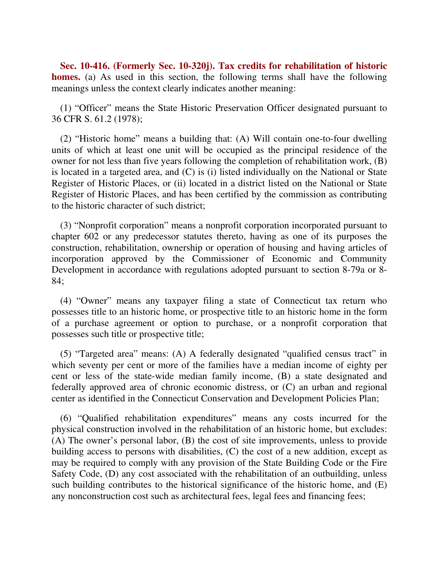**Sec. 10-416. (Formerly Sec. 10-320j). Tax credits for rehabilitation of historic homes.** (a) As used in this section, the following terms shall have the following meanings unless the context clearly indicates another meaning:

(1) "Officer" means the State Historic Preservation Officer designated pursuant to 36 CFR S. 61.2 (1978);

(2) "Historic home" means a building that: (A) Will contain one-to-four dwelling units of which at least one unit will be occupied as the principal residence of the owner for not less than five years following the completion of rehabilitation work, (B) is located in a targeted area, and (C) is (i) listed individually on the National or State Register of Historic Places, or (ii) located in a district listed on the National or State Register of Historic Places, and has been certified by the commission as contributing to the historic character of such district;

(3) "Nonprofit corporation" means a nonprofit corporation incorporated pursuant to chapter 602 or any predecessor statutes thereto, having as one of its purposes the construction, rehabilitation, ownership or operation of housing and having articles of incorporation approved by the Commissioner of Economic and Community Development in accordance with regulations adopted pursuant to section 8-79a or 8- 84;

(4) "Owner" means any taxpayer filing a state of Connecticut tax return who possesses title to an historic home, or prospective title to an historic home in the form of a purchase agreement or option to purchase, or a nonprofit corporation that possesses such title or prospective title;

(5) "Targeted area" means: (A) A federally designated "qualified census tract" in which seventy per cent or more of the families have a median income of eighty per cent or less of the state-wide median family income, (B) a state designated and federally approved area of chronic economic distress, or (C) an urban and regional center as identified in the Connecticut Conservation and Development Policies Plan;

(6) "Qualified rehabilitation expenditures" means any costs incurred for the physical construction involved in the rehabilitation of an historic home, but excludes: (A) The owner's personal labor, (B) the cost of site improvements, unless to provide building access to persons with disabilities, (C) the cost of a new addition, except as may be required to comply with any provision of the State Building Code or the Fire Safety Code, (D) any cost associated with the rehabilitation of an outbuilding, unless such building contributes to the historical significance of the historic home, and (E) any nonconstruction cost such as architectural fees, legal fees and financing fees;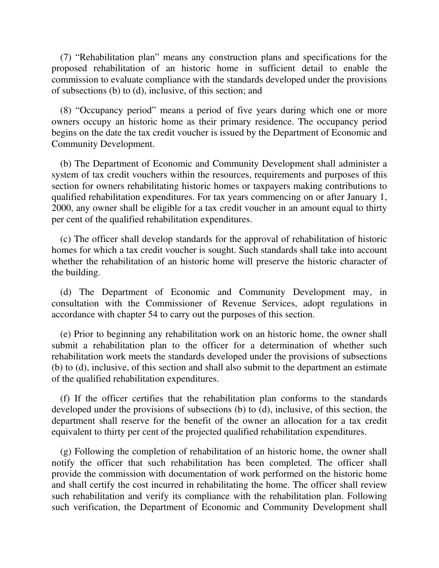(7) "Rehabilitation plan" means any construction plans and specifications for the proposed rehabilitation of an historic home in sufficient detail to enable the commission to evaluate compliance with the standards developed under the provisions of subsections (b) to (d), inclusive, of this section; and

(8) "Occupancy period" means a period of five years during which one or more owners occupy an historic home as their primary residence. The occupancy period begins on the date the tax credit voucher is issued by the Department of Economic and Community Development.

(b) The Department of Economic and Community Development shall administer a system of tax credit vouchers within the resources, requirements and purposes of this section for owners rehabilitating historic homes or taxpayers making contributions to qualified rehabilitation expenditures. For tax years commencing on or after January 1, 2000, any owner shall be eligible for a tax credit voucher in an amount equal to thirty per cent of the qualified rehabilitation expenditures.

(c) The officer shall develop standards for the approval of rehabilitation of historic homes for which a tax credit voucher is sought. Such standards shall take into account whether the rehabilitation of an historic home will preserve the historic character of the building.

(d) The Department of Economic and Community Development may, in consultation with the Commissioner of Revenue Services, adopt regulations in accordance with chapter 54 to carry out the purposes of this section.

(e) Prior to beginning any rehabilitation work on an historic home, the owner shall submit a rehabilitation plan to the officer for a determination of whether such rehabilitation work meets the standards developed under the provisions of subsections (b) to (d), inclusive, of this section and shall also submit to the department an estimate of the qualified rehabilitation expenditures.

(f) If the officer certifies that the rehabilitation plan conforms to the standards developed under the provisions of subsections (b) to (d), inclusive, of this section, the department shall reserve for the benefit of the owner an allocation for a tax credit equivalent to thirty per cent of the projected qualified rehabilitation expenditures.

(g) Following the completion of rehabilitation of an historic home, the owner shall notify the officer that such rehabilitation has been completed. The officer shall provide the commission with documentation of work performed on the historic home and shall certify the cost incurred in rehabilitating the home. The officer shall review such rehabilitation and verify its compliance with the rehabilitation plan. Following such verification, the Department of Economic and Community Development shall